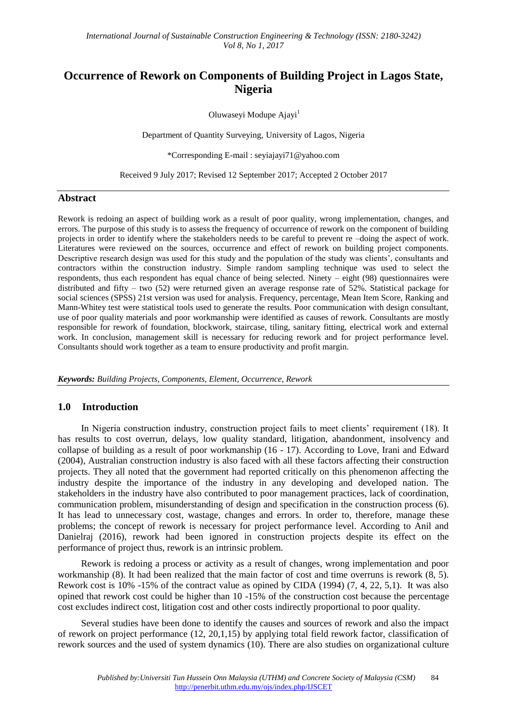# **Occurrence of Rework on Components of Building Project in Lagos State, Nigeria**

Oluwaseyi Modupe Ajayi<sup>1</sup>

Department of Quantity Surveying, University of Lagos, Nigeria

\*Corresponding E-mail : seyiajayi71@yahoo.com

Received 9 July 2017; Revised 12 September 2017; Accepted 2 October 2017

#### **Abstract**

Rework is redoing an aspect of building work as a result of poor quality, wrong implementation, changes, and errors. The purpose of this study is to assess the frequency of occurrence of rework on the component of building projects in order to identify where the stakeholders needs to be careful to prevent re –doing the aspect of work. Literatures were reviewed on the sources, occurrence and effect of rework on building project components. Descriptive research design was used for this study and the population of the study was clients', consultants and contractors within the construction industry. Simple random sampling technique was used to select the respondents, thus each respondent has equal chance of being selected. Ninety – eight (98) questionnaires were distributed and fifty – two (52) were returned given an average response rate of 52%. Statistical package for social sciences (SPSS) 21st version was used for analysis. Frequency, percentage, Mean Item Score, Ranking and Mann-Whitey test were statistical tools used to generate the results. Poor communication with design consultant, use of poor quality materials and poor workmanship were identified as causes of rework. Consultants are mostly responsible for rework of foundation, blockwork, staircase, tiling, sanitary fitting, electrical work and external work. In conclusion, management skill is necessary for reducing rework and for project performance level. Consultants should work together as a team to ensure productivity and profit margin.

*Keywords: Building Projects, Components, Element, Occurrence, Rework*

### **1.0 Introduction**

In Nigeria construction industry, construction project fails to meet clients' requirement (18). It has results to cost overrun, delays, low quality standard, litigation, abandonment, insolvency and collapse of building as a result of poor workmanship (16 - 17). According to Love, Irani and Edward (2004), Australian construction industry is also faced with all these factors affecting their construction projects. They all noted that the government had reported critically on this phenomenon affecting the industry despite the importance of the industry in any developing and developed nation. The stakeholders in the industry have also contributed to poor management practices, lack of coordination, communication problem, misunderstanding of design and specification in the construction process (6). It has lead to unnecessary cost, wastage, changes and errors. In order to, therefore, manage these problems; the concept of rework is necessary for project performance level. According to Anil and Danielraj (2016), rework had been ignored in construction projects despite its effect on the performance of project thus, rework is an intrinsic problem.

Rework is redoing a process or activity as a result of changes, wrong implementation and poor workmanship (8). It had been realized that the main factor of cost and time overruns is rework (8, 5). Rework cost is 10% -15% of the contract value as opined by CIDA (1994) (7, 4, 22, 5,1). It was also opined that rework cost could be higher than 10 -15% of the construction cost because the percentage cost excludes indirect cost, litigation cost and other costs indirectly proportional to poor quality.

Several studies have been done to identify the causes and sources of rework and also the impact of rework on project performance (12, 20,1,15) by applying total field rework factor, classification of rework sources and the used of system dynamics (10). There are also studies on organizational culture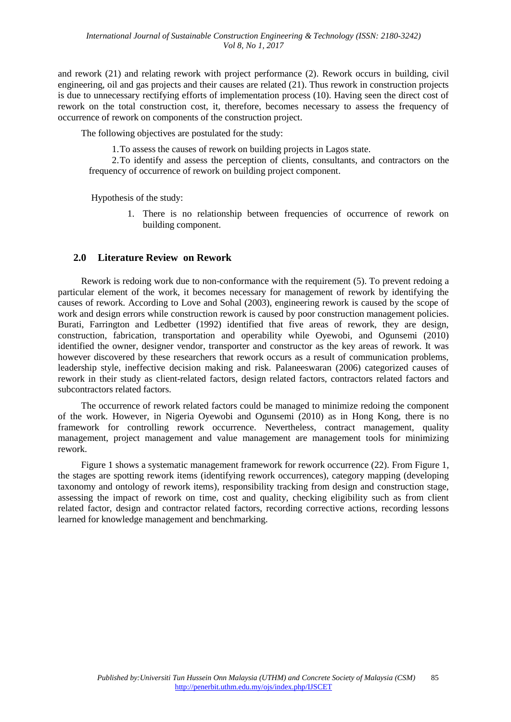and rework (21) and relating rework with project performance (2). Rework occurs in building, civil engineering, oil and gas projects and their causes are related (21). Thus rework in construction projects is due to unnecessary rectifying efforts of implementation process (10). Having seen the direct cost of rework on the total construction cost, it, therefore, becomes necessary to assess the frequency of occurrence of rework on components of the construction project.

The following objectives are postulated for the study:

1.To assess the causes of rework on building projects in Lagos state.

2.To identify and assess the perception of clients, consultants, and contractors on the frequency of occurrence of rework on building project component.

Hypothesis of the study:

1. There is no relationship between frequencies of occurrence of rework on building component.

### **2.0 Literature Review on Rework**

Rework is redoing work due to non-conformance with the requirement (5). To prevent redoing a particular element of the work, it becomes necessary for management of rework by identifying the causes of rework. According to Love and Sohal (2003), engineering rework is caused by the scope of work and design errors while construction rework is caused by poor construction management policies. Burati, Farrington and Ledbetter (1992) identified that five areas of rework, they are design, construction, fabrication, transportation and operability while Oyewobi, and Ogunsemi (2010) identified the owner, designer vendor, transporter and constructor as the key areas of rework. It was however discovered by these researchers that rework occurs as a result of communication problems, leadership style, ineffective decision making and risk. Palaneeswaran (2006) categorized causes of rework in their study as client-related factors, design related factors, contractors related factors and subcontractors related factors.

The occurrence of rework related factors could be managed to minimize redoing the component of the work. However, in Nigeria Oyewobi and Ogunsemi (2010) as in Hong Kong, there is no framework for controlling rework occurrence. Nevertheless, contract management, quality management, project management and value management are management tools for minimizing rework.

Figure 1 shows a systematic management framework for rework occurrence (22). From Figure 1, the stages are spotting rework items (identifying rework occurrences), category mapping (developing taxonomy and ontology of rework items), responsibility tracking from design and construction stage, assessing the impact of rework on time, cost and quality, checking eligibility such as from client related factor, design and contractor related factors, recording corrective actions, recording lessons learned for knowledge management and benchmarking.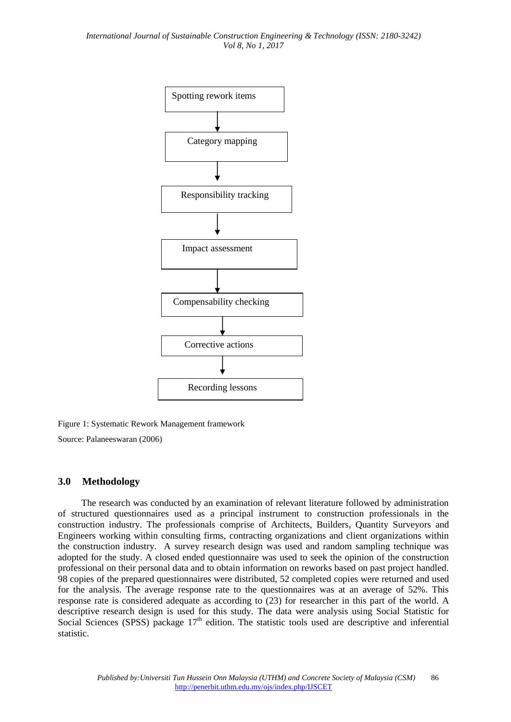

Figure 1: Systematic Rework Management framework

Source: Palaneeswaran (2006)

### **3.0 Methodology**

The research was conducted by an examination of relevant literature followed by administration of structured questionnaires used as a principal instrument to construction professionals in the construction industry. The professionals comprise of Architects, Builders, Quantity Surveyors and Engineers working within consulting firms, contracting organizations and client organizations within the construction industry. A survey research design was used and random sampling technique was adopted for the study. A closed ended questionnaire was used to seek the opinion of the construction professional on their personal data and to obtain information on reworks based on past project handled. 98 copies of the prepared questionnaires were distributed, 52 completed copies were returned and used for the analysis. The average response rate to the questionnaires was at an average of 52%. This response rate is considered adequate as according to (23) for researcher in this part of the world. A descriptive research design is used for this study. The data were analysis using Social Statistic for Social Sciences (SPSS) package  $17<sup>th</sup>$  edition. The statistic tools used are descriptive and inferential statistic.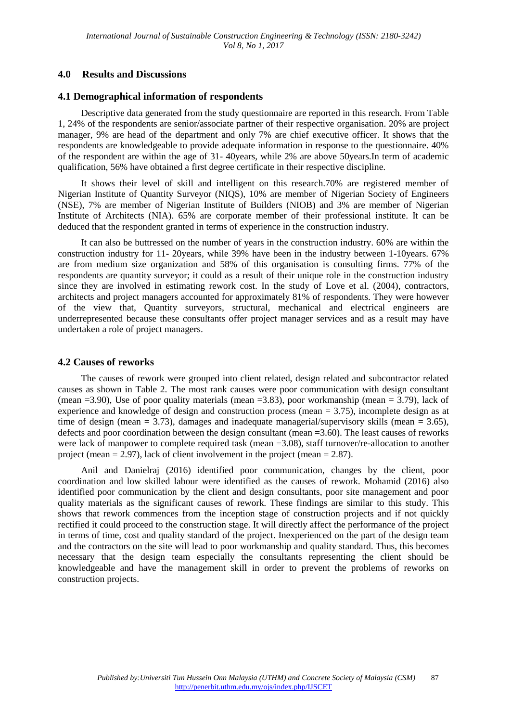### **4.0 Results and Discussions**

### **4.1 Demographical information of respondents**

Descriptive data generated from the study questionnaire are reported in this research. From Table 1, 24% of the respondents are senior/associate partner of their respective organisation. 20% are project manager, 9% are head of the department and only 7% are chief executive officer. It shows that the respondents are knowledgeable to provide adequate information in response to the questionnaire. 40% of the respondent are within the age of 31- 40years, while 2% are above 50years.In term of academic qualification, 56% have obtained a first degree certificate in their respective discipline.

It shows their level of skill and intelligent on this research.70% are registered member of Nigerian Institute of Quantity Surveyor (NIQS), 10% are member of Nigerian Society of Engineers (NSE), 7% are member of Nigerian Institute of Builders (NIOB) and 3% are member of Nigerian Institute of Architects (NIA). 65% are corporate member of their professional institute. It can be deduced that the respondent granted in terms of experience in the construction industry.

It can also be buttressed on the number of years in the construction industry. 60% are within the construction industry for 11- 20years, while 39% have been in the industry between 1-10years. 67% are from medium size organization and 58% of this organisation is consulting firms. 77% of the respondents are quantity surveyor; it could as a result of their unique role in the construction industry since they are involved in estimating rework cost. In the study of Love et al. (2004), contractors, architects and project managers accounted for approximately 81% of respondents. They were however of the view that, Quantity surveyors, structural, mechanical and electrical engineers are underrepresented because these consultants offer project manager services and as a result may have undertaken a role of project managers.

### **4.2 Causes of reworks**

The causes of rework were grouped into client related, design related and subcontractor related causes as shown in Table 2. The most rank causes were poor communication with design consultant (mean  $=3.90$ ), Use of poor quality materials (mean  $=3.83$ ), poor workmanship (mean  $= 3.79$ ), lack of experience and knowledge of design and construction process (mean  $= 3.75$ ), incomplete design as at time of design (mean  $= 3.73$ ), damages and inadequate managerial/supervisory skills (mean  $= 3.65$ ), defects and poor coordination between the design consultant (mean =3.60). The least causes of reworks were lack of manpower to complete required task (mean =3.08), staff turnover/re-allocation to another project (mean  $= 2.97$ ), lack of client involvement in the project (mean  $= 2.87$ ).

Anil and Danielraj (2016) identified poor communication, changes by the client, poor coordination and low skilled labour were identified as the causes of rework. Mohamid (2016) also identified poor communication by the client and design consultants, poor site management and poor quality materials as the significant causes of rework. These findings are similar to this study. This shows that rework commences from the inception stage of construction projects and if not quickly rectified it could proceed to the construction stage. It will directly affect the performance of the project in terms of time, cost and quality standard of the project. Inexperienced on the part of the design team and the contractors on the site will lead to poor workmanship and quality standard. Thus, this becomes necessary that the design team especially the consultants representing the client should be knowledgeable and have the management skill in order to prevent the problems of reworks on construction projects.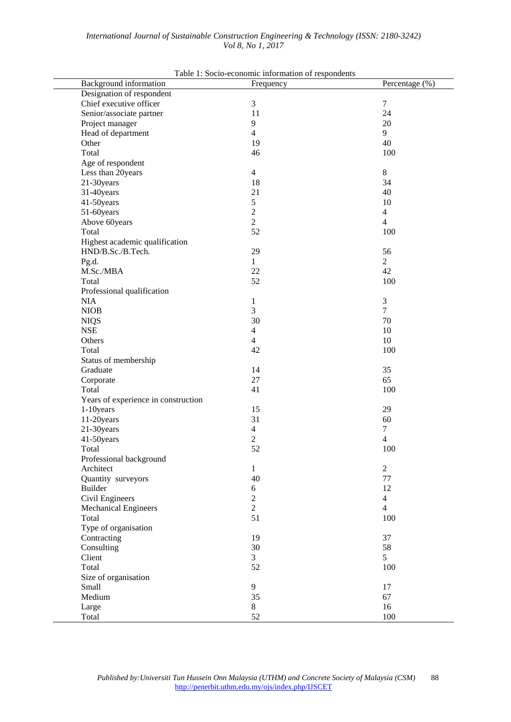| Background information              | Frequency      | Percentage (%)   |
|-------------------------------------|----------------|------------------|
| Designation of respondent           |                |                  |
| Chief executive officer             | $\mathfrak{Z}$ | $\boldsymbol{7}$ |
| Senior/associate partner            | 11             | 24               |
| Project manager                     | 9              | 20               |
| Head of department                  | $\overline{4}$ | 9                |
| Other                               | 19             | 40               |
| Total                               | 46             | 100              |
| Age of respondent                   |                |                  |
| Less than 20years                   | $\overline{4}$ | 8                |
| 21-30years                          | 18             | 34               |
| 31-40years                          | 21             | 40               |
| 41-50years                          | 5              | 10               |
| 51-60years                          | $\sqrt{2}$     | $\overline{4}$   |
| Above 60years                       | $\overline{2}$ | $\overline{4}$   |
| Total                               | 52             | 100              |
| Highest academic qualification      |                |                  |
| HND/B.Sc./B.Tech.                   | 29             | 56               |
| Pg.d.                               | 1              | $\overline{2}$   |
| M.Sc./MBA                           | 22             | 42               |
| Total                               | 52             | 100              |
| Professional qualification          |                |                  |
| <b>NIA</b>                          | $\mathbf{1}$   | 3                |
| <b>NIOB</b>                         | 3              | $\overline{7}$   |
| <b>NIQS</b>                         | 30             | 70               |
| <b>NSE</b>                          | $\overline{4}$ | 10               |
| Others                              | $\overline{4}$ | 10               |
| Total                               | 42             | 100              |
| Status of membership                |                |                  |
| Graduate                            | 14             | 35               |
| Corporate                           | 27             | 65               |
| Total                               | 41             | 100              |
| Years of experience in construction |                |                  |
| 1-10years                           | 15             | 29               |
| 11-20years                          | 31             | 60               |
| 21-30years                          | $\overline{4}$ | 7                |
| 41-50years                          | 2              | 4                |
| Total                               | 52             | 100              |
| Professional background             |                |                  |
| Architect                           | 1              | $\overline{c}$   |
| Quantity surveyors                  | 40             | 77               |
| Builder                             | $\sqrt{6}$     | 12               |
| Civil Engineers                     | $\overline{c}$ | 4                |
| <b>Mechanical Engineers</b>         | $\overline{2}$ | $\overline{4}$   |
| Total                               | 51             | 100              |
| Type of organisation                |                |                  |
| Contracting                         | 19             | 37               |
|                                     | 30             |                  |
| Consulting                          |                | 58               |
| Client                              | 3              | 5                |
| Total                               | 52             | 100              |
| Size of organisation                |                |                  |
| Small                               | 9              | 17               |
| Medium                              | 35             | 67               |
| Large                               | $8\,$          | 16               |
| Total                               | 52             | 100              |

 $Table 1:  $Scaino$  *geonomic information of*  $transc$$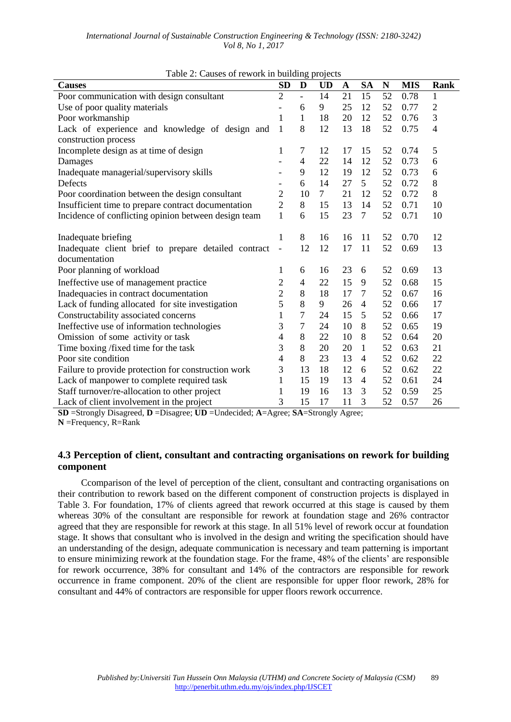| International Journal of Sustainable Construction Engineering & Technology (ISSN: 2180-3242) |                          |  |  |  |
|----------------------------------------------------------------------------------------------|--------------------------|--|--|--|
|                                                                                              | <i>Vol 8, No 1, 2017</i> |  |  |  |

| raone 2. Caases of rework in banding projects<br><b>Causes</b> | <b>SD</b>                | D              | <b>UD</b> | $\mathbf A$ | <b>SA</b>      | N  | <b>MIS</b> | Rank           |
|----------------------------------------------------------------|--------------------------|----------------|-----------|-------------|----------------|----|------------|----------------|
| Poor communication with design consultant                      | $\overline{2}$           | $\overline{a}$ | 14        | 21          | 15             | 52 | 0.78       | 1              |
| Use of poor quality materials                                  | -                        | 6              | 9         | 25          | 12             | 52 | 0.77       | $\overline{2}$ |
| Poor workmanship                                               | 1                        | 1              | 18        | 20          | 12             | 52 | 0.76       | 3              |
| Lack of experience and knowledge of design and                 | $\mathbf{1}$             | 8              | 12        | 13          | 18             | 52 | 0.75       | $\overline{4}$ |
| construction process                                           |                          |                |           |             |                |    |            |                |
| Incomplete design as at time of design                         | 1                        | 7              | 12        | 17          | 15             | 52 | 0.74       | 5              |
| Damages                                                        |                          | 4              | 22        | 14          | 12             | 52 | 0.73       | 6              |
| Inadequate managerial/supervisory skills                       |                          | 9              | 12        | 19          | 12             | 52 | 0.73       | 6              |
| Defects                                                        | $\overline{\phantom{0}}$ | 6              | 14        | 27          | 5              | 52 | 0.72       | 8              |
| Poor coordination between the design consultant                | $\overline{2}$           | 10             | $\tau$    | 21          | 12             | 52 | 0.72       | 8              |
| Insufficient time to prepare contract documentation            | $\overline{2}$           | 8              | 15        | 13          | 14             | 52 | 0.71       | 10             |
| Incidence of conflicting opinion between design team           | $\mathbf{1}$             | 6              | 15        | 23          | $\tau$         | 52 | 0.71       | 10             |
| Inadequate briefing                                            | $\mathbf{1}$             | 8              | 16        | 16          | 11             | 52 | 0.70       | 12             |
| Inadequate client brief to prepare detailed contract           | $\frac{1}{2}$            | 12             | 12        | 17          | 11             | 52 | 0.69       | 13             |
| documentation                                                  |                          |                |           |             |                |    |            |                |
| Poor planning of workload                                      | 1                        | 6              | 16        | 23          | 6              | 52 | 0.69       | 13             |
| Ineffective use of management practice                         | 2                        | $\overline{4}$ | 22        | 15          | 9              | 52 | 0.68       | 15             |
| Inadequacies in contract documentation                         | $\overline{c}$           | 8              | 18        | 17          | 7              | 52 | 0.67       | 16             |
| Lack of funding allocated for site investigation               | 5                        | 8              | 9         | 26          | 4              | 52 | 0.66       | 17             |
| Constructability associated concerns                           | $\mathbf{1}$             | 7              | 24        | 15          | 5              | 52 | 0.66       | 17             |
| Ineffective use of information technologies                    | 3                        | 7              | 24        | 10          | 8              | 52 | 0.65       | 19             |
| Omission of some activity or task                              | 4                        | 8              | 22        | 10          | 8              | 52 | 0.64       | 20             |
| Time boxing /fixed time for the task                           | 3                        | 8              | 20        | 20          | 1              | 52 | 0.63       | 21             |
| Poor site condition                                            | 4                        | 8              | 23        | 13          | $\overline{4}$ | 52 | 0.62       | 22             |
| Failure to provide protection for construction work            | 3                        | 13             | 18        | 12          | 6              | 52 | 0.62       | 22             |
| Lack of manpower to complete required task                     | 1                        | 15             | 19        | 13          | $\overline{4}$ | 52 | 0.61       | 24             |
| Staff turnover/re-allocation to other project                  | 1                        | 19             | 16        | 13          | 3              | 52 | 0.59       | 25             |
| Lack of client involvement in the project                      | 3                        | 15             | 17        | 11          | 3              | 52 | 0.57       | 26             |

|  | Table 2: Causes of rework in building projects |  |  |
|--|------------------------------------------------|--|--|

**SD** =Strongly Disagreed, **D** =Disagree; **UD** =Undecided; **A**=Agree; **SA**=Strongly Agree;

**N** =Frequency, R=Rank

## **4.3 Perception of client, consultant and contracting organisations on rework for building component**

Ccomparison of the level of perception of the client, consultant and contracting organisations on their contribution to rework based on the different component of construction projects is displayed in Table 3. For foundation, 17% of clients agreed that rework occurred at this stage is caused by them whereas 30% of the consultant are responsible for rework at foundation stage and 26% contractor agreed that they are responsible for rework at this stage. In all 51% level of rework occur at foundation stage. It shows that consultant who is involved in the design and writing the specification should have an understanding of the design, adequate communication is necessary and team patterning is important to ensure minimizing rework at the foundation stage. For the frame, 48% of the clients' are responsible for rework occurrence, 38% for consultant and 14% of the contractors are responsible for rework occurrence in frame component. 20% of the client are responsible for upper floor rework, 28% for consultant and 44% of contractors are responsible for upper floors rework occurrence.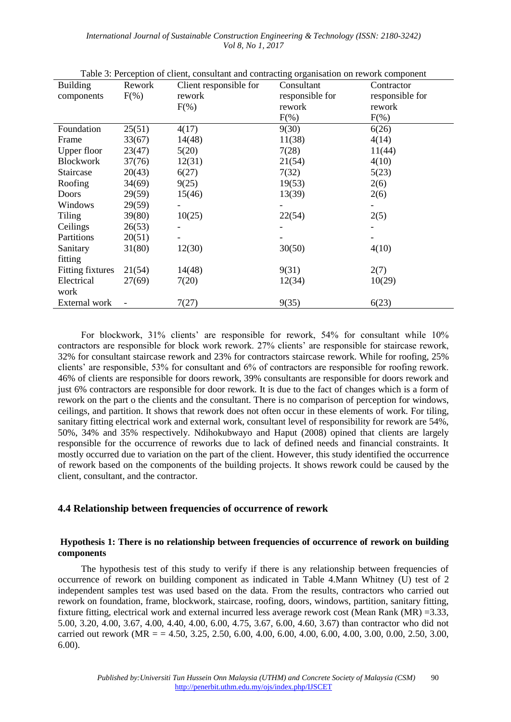*International Journal of Sustainable Construction Engineering & Technology (ISSN: 2180-3242) Vol 8, No 1, 2017*

Table 3: Perception of client, consultant and contracting organisation on rework component

| <b>Building</b>         | Rework  | ruole 3. I eleepitoli ol enem, combattant and commetting organisation on rework component<br>Client responsible for | Consultant      | Contractor      |
|-------------------------|---------|---------------------------------------------------------------------------------------------------------------------|-----------------|-----------------|
| components              | $F(\%)$ | rework                                                                                                              | responsible for | responsible for |
|                         |         | $F(\%)$                                                                                                             | rework          | rework          |
|                         |         |                                                                                                                     | $F(\%)$         | $F(\%)$         |
| Foundation              | 25(51)  | 4(17)                                                                                                               | 9(30)           | 6(26)           |
| Frame                   | 33(67)  | 14(48)                                                                                                              | 11(38)          | 4(14)           |
| Upper floor             | 23(47)  | 5(20)                                                                                                               | 7(28)           | 11(44)          |
| <b>Blockwork</b>        | 37(76)  | 12(31)                                                                                                              | 21(54)          | 4(10)           |
| Staircase               | 20(43)  | 6(27)                                                                                                               | 7(32)           | 5(23)           |
| Roofing                 | 34(69)  | 9(25)                                                                                                               | 19(53)          | 2(6)            |
| Doors                   | 29(59)  | 15(46)                                                                                                              | 13(39)          | 2(6)            |
| Windows                 | 29(59)  |                                                                                                                     |                 |                 |
| <b>Tiling</b>           | 39(80)  | 10(25)                                                                                                              | 22(54)          | 2(5)            |
| Ceilings                | 26(53)  |                                                                                                                     |                 |                 |
| Partitions              | 20(51)  |                                                                                                                     |                 |                 |
| Sanitary                | 31(80)  | 12(30)                                                                                                              | 30(50)          | 4(10)           |
| fitting                 |         |                                                                                                                     |                 |                 |
| <b>Fitting fixtures</b> | 21(54)  | 14(48)                                                                                                              | 9(31)           | 2(7)            |
| Electrical              | 27(69)  | 7(20)                                                                                                               | 12(34)          | 10(29)          |
| work                    |         |                                                                                                                     |                 |                 |
| External work           |         | 7(27)                                                                                                               | 9(35)           | 6(23)           |

For blockwork, 31% clients' are responsible for rework, 54% for consultant while 10% contractors are responsible for block work rework. 27% clients' are responsible for staircase rework, 32% for consultant staircase rework and 23% for contractors staircase rework. While for roofing, 25% clients' are responsible, 53% for consultant and 6% of contractors are responsible for roofing rework. 46% of clients are responsible for doors rework, 39% consultants are responsible for doors rework and just 6% contractors are responsible for door rework. It is due to the fact of changes which is a form of rework on the part o the clients and the consultant. There is no comparison of perception for windows, ceilings, and partition. It shows that rework does not often occur in these elements of work. For tiling, sanitary fitting electrical work and external work, consultant level of responsibility for rework are 54%, 50%, 34% and 35% respectively. Ndihokubwayo and Haput (2008) opined that clients are largely responsible for the occurrence of reworks due to lack of defined needs and financial constraints. It mostly occurred due to variation on the part of the client. However, this study identified the occurrence of rework based on the components of the building projects. It shows rework could be caused by the

### **4.4 Relationship between frequencies of occurrence of rework**

client, consultant, and the contractor.

#### **Hypothesis 1: There is no relationship between frequencies of occurrence of rework on building components**

The hypothesis test of this study to verify if there is any relationship between frequencies of occurrence of rework on building component as indicated in Table 4.Mann Whitney (U) test of 2 independent samples test was used based on the data. From the results, contractors who carried out rework on foundation, frame, blockwork, staircase, roofing, doors, windows, partition, sanitary fitting, fixture fitting, electrical work and external incurred less average rework cost (Mean Rank (MR) =3.33, 5.00, 3.20, 4.00, 3.67, 4.00, 4.40, 4.00, 6.00, 4.75, 3.67, 6.00, 4.60, 3.67) than contractor who did not carried out rework ( $MR = 4.50$ , 3.25, 2.50, 6.00, 4.00, 6.00, 4.00, 6.00, 4.00, 3.00, 0.00, 2.50, 3.00, 6.00).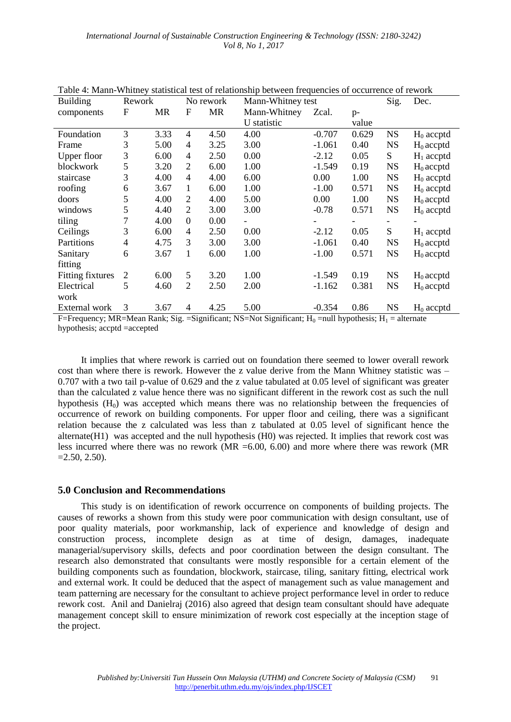| <b>Building</b>         | Rework    |           |                  | No rework | Mann-Whitney test |                          |       | Sig.      | Dec.         |
|-------------------------|-----------|-----------|------------------|-----------|-------------------|--------------------------|-------|-----------|--------------|
| components              | ${\rm F}$ | <b>MR</b> | $\boldsymbol{F}$ | MR        | Mann-Whitney      | Zcal.                    | $p-$  |           |              |
|                         |           |           |                  |           | U statistic       |                          | value |           |              |
| Foundation              | 3         | 3.33      | 4                | 4.50      | 4.00              | $-0.707$                 | 0.629 | <b>NS</b> | $H_0$ accptd |
| Frame                   | 3         | 5.00      | 4                | 3.25      | 3.00              | $-1.061$                 | 0.40  | <b>NS</b> | $H_0$ accptd |
| Upper floor             | 3         | 6.00      | 4                | 2.50      | 0.00              | $-2.12$                  | 0.05  | S         | $H_1$ accptd |
| blockwork               | 5         | 3.20      | 2                | 6.00      | 1.00              | $-1.549$                 | 0.19  | <b>NS</b> | $H_0$ accptd |
| staircase               | 3         | 4.00      | 4                | 4.00      | 6.00              | 0.00                     | 1.00  | <b>NS</b> | $H_0$ accptd |
| roofing                 | 6         | 3.67      | 1                | 6.00      | 1.00              | $-1.00$                  | 0.571 | <b>NS</b> | $H_0$ accptd |
| doors                   | 5         | 4.00      | $\overline{2}$   | 4.00      | 5.00              | 0.00                     | 1.00  | <b>NS</b> | $H_0$ accptd |
| windows                 | 5         | 4.40      | $\overline{2}$   | 3.00      | 3.00              | $-0.78$                  | 0.571 | <b>NS</b> | $H_0$ accptd |
| tiling                  | 7         | 4.00      | $\Omega$         | 0.00      |                   | $\overline{\phantom{a}}$ |       |           |              |
| Ceilings                | 3         | 6.00      | 4                | 2.50      | 0.00              | $-2.12$                  | 0.05  | S         | $H_1$ accptd |
| Partitions              | 4         | 4.75      | 3                | 3.00      | 3.00              | $-1.061$                 | 0.40  | <b>NS</b> | $H_0$ accptd |
| Sanitary                | 6         | 3.67      | 1                | 6.00      | 1.00              | $-1.00$                  | 0.571 | <b>NS</b> | $H_0$ accptd |
| fitting                 |           |           |                  |           |                   |                          |       |           |              |
| <b>Fitting fixtures</b> | 2         | 6.00      | 5                | 3.20      | 1.00              | $-1.549$                 | 0.19  | <b>NS</b> | $H_0$ accptd |
| Electrical              | 5         | 4.60      | $\overline{2}$   | 2.50      | 2.00              | $-1.162$                 | 0.381 | <b>NS</b> | $H_0$ accptd |
| work                    |           |           |                  |           |                   |                          |       |           |              |
| External work           | 3         | 3.67      | 4                | 4.25      | 5.00              | $-0.354$                 | 0.86  | <b>NS</b> | $H_0$ accptd |

Table 4: Mann-Whitney statistical test of relationship between frequencies of occurrence of rework

F=Frequency; MR=Mean Rank; Sig. =Significant; NS=Not Significant;  $H_0$  =null hypothesis;  $H_1$  = alternate hypothesis; accptd =accepted

It implies that where rework is carried out on foundation there seemed to lower overall rework cost than where there is rework. However the z value derive from the Mann Whitney statistic was – 0.707 with a two tail p-value of 0.629 and the z value tabulated at 0.05 level of significant was greater than the calculated z value hence there was no significant different in the rework cost as such the null hypothesis  $(H<sub>0</sub>)$  was accepted which means there was no relationship between the frequencies of occurrence of rework on building components. For upper floor and ceiling, there was a significant relation because the z calculated was less than z tabulated at 0.05 level of significant hence the alternate(H1) was accepted and the null hypothesis (H0) was rejected. It implies that rework cost was less incurred where there was no rework (MR =6.00, 6.00) and more where there was rework (MR  $=2.50, 2.50$ .

#### **5.0 Conclusion and Recommendations**

This study is on identification of rework occurrence on components of building projects. The causes of reworks a shown from this study were poor communication with design consultant, use of poor quality materials, poor workmanship, lack of experience and knowledge of design and construction process, incomplete design as at time of design, damages, inadequate managerial/supervisory skills, defects and poor coordination between the design consultant. The research also demonstrated that consultants were mostly responsible for a certain element of the building components such as foundation, blockwork, staircase, tiling, sanitary fitting, electrical work and external work. It could be deduced that the aspect of management such as value management and team patterning are necessary for the consultant to achieve project performance level in order to reduce rework cost. Anil and Danielraj (2016) also agreed that design team consultant should have adequate management concept skill to ensure minimization of rework cost especially at the inception stage of the project.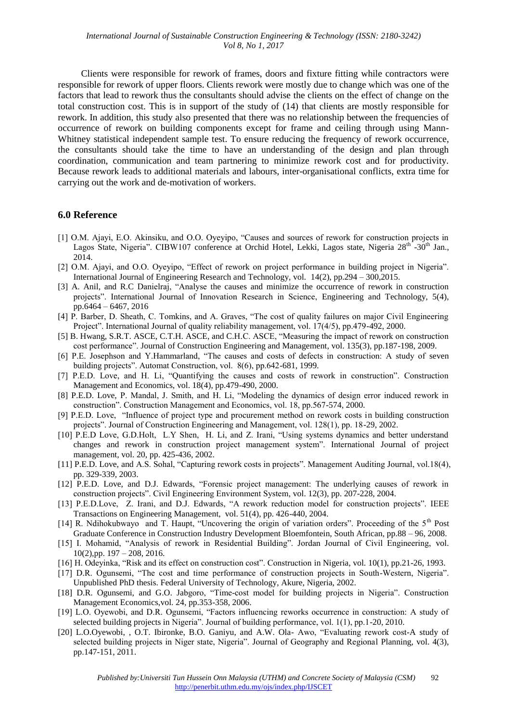Clients were responsible for rework of frames, doors and fixture fitting while contractors were responsible for rework of upper floors. Clients rework were mostly due to change which was one of the factors that lead to rework thus the consultants should advise the clients on the effect of change on the total construction cost. This is in support of the study of (14) that clients are mostly responsible for rework. In addition, this study also presented that there was no relationship between the frequencies of occurrence of rework on building components except for frame and ceiling through using Mann-Whitney statistical independent sample test. To ensure reducing the frequency of rework occurrence, the consultants should take the time to have an understanding of the design and plan through coordination, communication and team partnering to minimize rework cost and for productivity. Because rework leads to additional materials and labours, inter-organisational conflicts, extra time for carrying out the work and de-motivation of workers.

### **6.0 Reference**

- [1] O.M. Ajayi, E.O. Akinsiku, and O.O. Oyeyipo, "Causes and sources of rework for construction projects in Lagos State, Nigeria". CIBW107 conference at Orchid Hotel, Lekki, Lagos state, Nigeria 28<sup>th</sup> -30<sup>th</sup> Jan., 2014.
- [2] O.M. Ajayi, and O.O. Oyeyipo, "Effect of rework on project performance in building project in Nigeria". International Journal of Engineering Research and Technology, vol. 14(2), pp.294 – 300,2015.
- [3] A. Anil, and R.C Danielraj, "Analyse the causes and minimize the occurrence of rework in construction projects". International Journal of Innovation Research in Science, Engineering and Technology, 5(4), pp.6464 – 6467, 2016
- [4] P. Barber, D. Sheath, C. Tomkins, and A. Graves, "The cost of quality failures on major Civil Engineering Project". International Journal of quality reliability management, vol. 17(4/5), pp.479-492, 2000.
- [5] B. Hwang, S.R.T. ASCE, C.T.H. ASCE, and C.H.C. ASCE, "Measuring the impact of rework on construction cost performance". Journal of Construction Engineering and Management*,* vol. 135(3), pp.187-198, 2009.
- [6] P.E. Josephson and Y.Hammarland, "The causes and costs of defects in construction: A study of seven building projects". Automat Construction, vol. 8(6), pp.642-681, 1999.
- [7] P.E.D. Love, and H. Li, "Quantifying the causes and costs of rework in construction". Construction Management and Economics, vol. 18(4), pp.479-490, 2000.
- [8] P.E.D. Love, P. Mandal, J. Smith, and H. Li, "Modeling the dynamics of design error induced rework in construction". Construction Management and Economics, vol. 18, pp.567-574, 2000.
- [9] P.E.D. Love, "Influence of project type and procurement method on rework costs in building construction projects". Journal of Construction Engineering and Management, vol. 128(1), pp. 18-29, 2002.
- [10] P.E.D Love, G.D.Holt, L.Y Shen, H. Li, and Z. Irani, "Using systems dynamics and better understand changes and rework in construction project management system". International Journal of project management*,* vol. 20, pp. 425-436, 2002.
- [11] P.E.D. Love, and A.S. Sohal, "Capturing rework costs in projects". Management Auditing Journal, vol.18(4), pp. 329-339, 2003.
- [12] P.E.D. Love, and D.J. Edwards, "Forensic project management: The underlying causes of rework in construction projects". Civil Engineering Environment System*,* vol. 12(3), pp. 207-228, 2004.
- [13] P.E.D.Love, Z. Irani, and D.J. Edwards, "A rework reduction model for construction projects". IEEE Transactions on Engineering Management, vol. 51(4), pp. 426-440, 2004.
- [14] R. Ndihokubwayo and T. Haupt, "Uncovering the origin of variation orders". Proceeding of the 5<sup>th</sup> Post Graduate Conference in Construction Industry Development Bloemfontein, South African, pp.88 – 96, 2008.
- [15] I. Mohamid, "Analysis of rework in Residential Building". Jordan Journal of Civil Engineering, vol.  $10(2)$ ,pp.  $197 - 208$ ,  $2016$ .
- [16] H. Odeyinka, "Risk and its effect on construction cost". Construction in Nigeria, vol. 10(1), pp.21-26, 1993.
- [17] D.R. Ogunsemi, "The cost and time performance of construction projects in South-Western, Nigeria". Unpublished PhD thesis. Federal University of Technology, Akure, Nigeria, 2002.
- [18] D.R. Ogunsemi, and G.O. Jabgoro, "Time-cost model for building projects in Nigeria". Construction Management Economics,vol. 24, pp.353-358, 2006.
- [19] L.O. Oyewobi, and D.R. Ogunsemi, "Factors influencing reworks occurrence in construction: A study of selected building projects in Nigeria". Journal of building performance, vol. 1(1), pp.1-20, 2010.
- [20] L.O.Oyewobi, , O.T. Ibironke, B.O. Ganiyu, and A.W. Ola- Awo, "Evaluating rework cost-A study of selected building projects in Niger state, Nigeria". Journal of Geography and Regional Planning*,* vol. 4(3), pp.147-151, 2011.